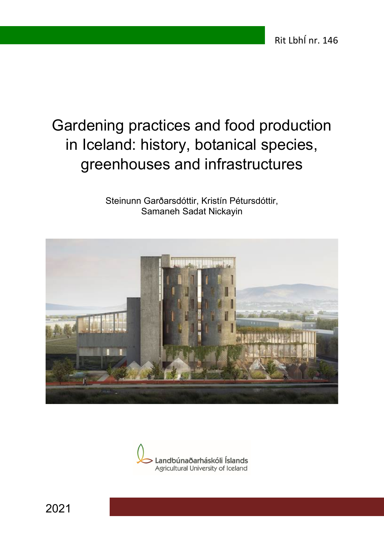# Gardening practices and food production in Iceland: history, botanical species, greenhouses and infrastructures

Steinunn Garðarsdóttir, Kristín Pétursdóttir, Samaneh Sadat Nickayin





2021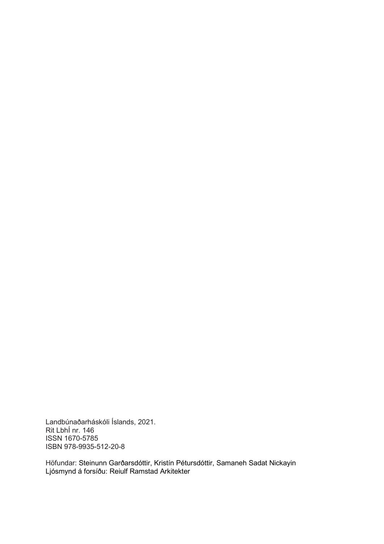Landbúnaðarháskóli Íslands, 2021. Rit LbhÍ nr. 146 ISSN 1670-5785 ISBN 978-9935-512-20-8

Höfundar: Steinunn Garðarsdóttir, Kristín Pétursdóttir, Samaneh Sadat Nickayin Ljósmynd á forsíðu: Reiulf Ramstad Arkitekter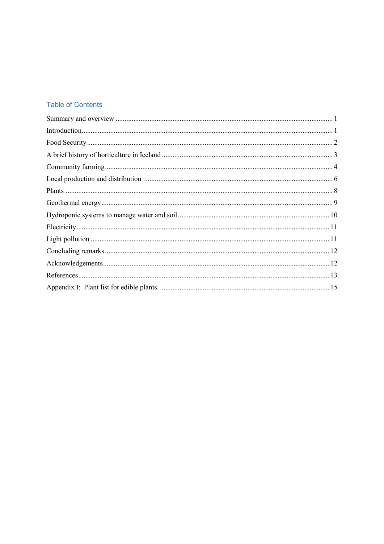#### **Table of Contents**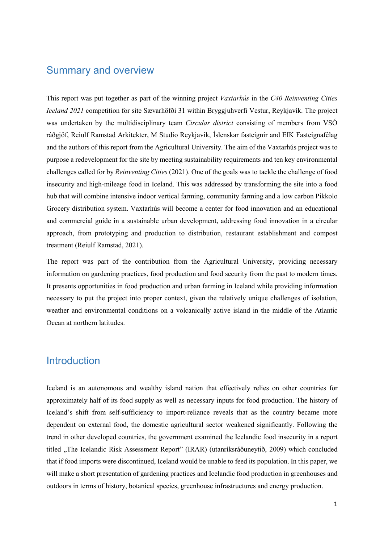#### <span id="page-3-0"></span>Summary and overview

This report was put together as part of the winning project *Vaxtarhús* in the *C40 Reinventing Cities Iceland 2021* competition for site Sævarhöfði 31 within Bryggjuhverfi Vestur, Reykjavík. The project was undertaken by the multidisciplinary team *Circular district* consisting of members from VSÓ ráðgjöf, Reiulf Ramstad Arkitekter, M Studio Reykjavik, Íslenskar fasteignir and EIK Fasteignafélag and the authors of this report from the Agricultural University. The aim of the Vaxtarhús project was to purpose a redevelopment for the site by meeting sustainability requirements and ten key environmental challenges called for by *Reinventing Cities* (2021). One of the goals was to tackle the challenge of food insecurity and high-mileage food in Iceland. This was addressed by transforming the site into a food hub that will combine intensive indoor vertical farming, community farming and a low carbon Pikkolo Grocery distribution system. Vaxtarhús will become a center for food innovation and an educational and commercial guide in a sustainable urban development, addressing food innovation in a circular approach, from prototyping and production to distribution, restaurant establishment and compost treatment (Reiulf Ramstad, 2021).

The report was part of the contribution from the Agricultural University, providing necessary information on gardening practices, food production and food security from the past to modern times. It presents opportunities in food production and urban farming in Iceland while providing information necessary to put the project into proper context, given the relatively unique challenges of isolation, weather and environmental conditions on a volcanically active island in the middle of the Atlantic Ocean at northern latitudes.

# <span id="page-3-1"></span>**Introduction**

Iceland is an autonomous and wealthy island nation that effectively relies on other countries for approximately half of its food supply as well as necessary inputs for food production. The history of Iceland's shift from self-sufficiency to import-reliance reveals that as the country became more dependent on external food, the domestic agricultural sector weakened significantly. Following the trend in other developed countries, the government examined the Icelandic food insecurity in a report titled "The Icelandic Risk Assessment Report" (IRAR) (utanríksráðuneytið, 2009) which concluded that if food imports were discontinued, Iceland would be unable to feed its population. In this paper, we will make a short presentation of gardening practices and Icelandic food production in greenhouses and outdoors in terms of history, botanical species, greenhouse infrastructures and energy production.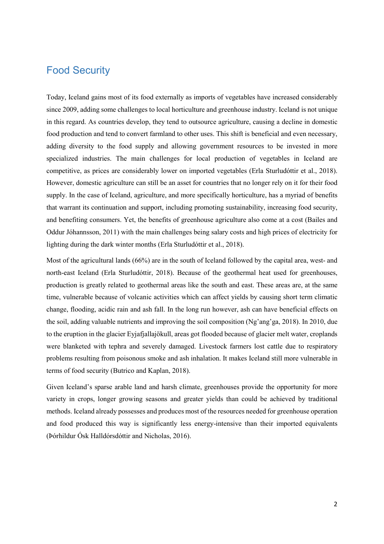#### <span id="page-4-0"></span>Food Security

Today, Iceland gains most of its food externally as imports of vegetables have increased considerably since 2009, adding some challenges to local horticulture and greenhouse industry. Iceland is not unique in this regard. As countries develop, they tend to outsource agriculture, causing a decline in domestic food production and tend to convert farmland to other uses. This shift is beneficial and even necessary, adding diversity to the food supply and allowing government resources to be invested in more specialized industries. The main challenges for local production of vegetables in Iceland are competitive, as prices are considerably lower on imported vegetables (Erla Sturludóttir et al., 2018). However, domestic agriculture can still be an asset for countries that no longer rely on it for their food supply. In the case of Iceland, agriculture, and more specifically horticulture, has a myriad of benefits that warrant its continuation and support, including promoting sustainability, increasing food security, and benefiting consumers. Yet, the benefits of greenhouse agriculture also come at a cost (Bailes and Oddur Jóhannsson, 2011) with the main challenges being salary costs and high prices of electricity for lighting during the dark winter months (Erla Sturludóttir et al., 2018).

Most of the agricultural lands (66%) are in the south of Iceland followed by the capital area, west- and north-east Iceland (Erla Sturludóttir, 2018). Because of the geothermal heat used for greenhouses, production is greatly related to geothermal areas like the south and east. These areas are, at the same time, vulnerable because of volcanic activities which can affect yields by causing short term climatic change, flooding, acidic rain and ash fall. In the long run however, ash can have beneficial effects on the soil, adding valuable nutrients and improving the soil composition (Ng'ang'ga, 2018). In 2010, due to the eruption in the glacier Eyjafjallajökull, areas got flooded because of glacier melt water, croplands were blanketed with tephra and severely damaged. Livestock farmers lost cattle due to respiratory problems resulting from poisonous smoke and ash inhalation. It makes Iceland still more vulnerable in terms of food security (Butrico and Kaplan, 2018).

Given Iceland's sparse arable land and harsh climate, greenhouses provide the opportunity for more variety in crops, longer growing seasons and greater yields than could be achieved by traditional methods. Iceland already possesses and produces most of the resources needed for greenhouse operation and food produced this way is significantly less energy-intensive than their imported equivalents (Þórhildur Ósk Halldórsdóttir and Nicholas, 2016).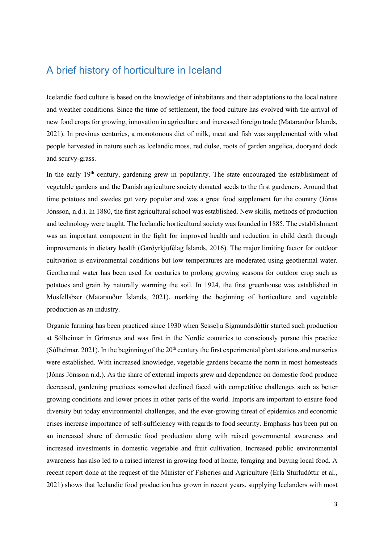# <span id="page-5-0"></span>A brief history of horticulture in Iceland

Icelandic food culture is based on the knowledge of inhabitants and their adaptations to the local nature and weather conditions. Since the time of settlement, the food culture has evolved with the arrival of new food crops for growing, innovation in agriculture and increased foreign trade (Matarauður Íslands, 2021). In previous centuries, a monotonous diet of milk, meat and fish was supplemented with what people harvested in nature such as Icelandic moss, red dulse, roots of garden angelica, dooryard dock and scurvy-grass.

In the early  $19<sup>th</sup>$  century, gardening grew in popularity. The state encouraged the establishment of vegetable gardens and the Danish agriculture society donated seeds to the first gardeners. Around that time potatoes and swedes got very popular and was a great food supplement for the country (Jónas Jónsson, n.d.). In 1880, the first agricultural school was established. New skills, methods of production and technology were taught. The Icelandic horticultural society was founded in 1885. The establishment was an important component in the fight for improved health and reduction in child death through improvements in dietary health (Garðyrkjufélag Íslands, 2016). The major limiting factor for outdoor cultivation is environmental conditions but low temperatures are moderated using geothermal water. Geothermal water has been used for centuries to prolong growing seasons for outdoor crop such as potatoes and grain by naturally warming the soil. In 1924, the first greenhouse was established in Mosfellsbær (Matarauður Íslands, 2021), marking the beginning of horticulture and vegetable production as an industry.

Organic farming has been practiced since 1930 when Sesselja Sigmundsdóttir started such production at Sólheimar in Grímsnes and was first in the Nordic countries to consciously pursue this practice (Sólheimar, 2021). In the beginning of the  $20<sup>th</sup>$  century the first experimental plant stations and nurseries were established. With increased knowledge, vegetable gardens became the norm in most homesteads (Jónas Jónsson n.d.). As the share of external imports grew and dependence on domestic food produce decreased, gardening practices somewhat declined faced with competitive challenges such as better growing conditions and lower prices in other parts of the world. Imports are important to ensure food diversity but today environmental challenges, and the ever-growing threat of epidemics and economic crises increase importance of self-sufficiency with regards to food security. Emphasis has been put on an increased share of domestic food production along with raised governmental awareness and increased investments in domestic vegetable and fruit cultivation. Increased public environmental awareness has also led to a raised interest in growing food at home, foraging and buying local food. A recent report done at the request of the Minister of Fisheries and Agriculture (Erla Sturludóttir et al., 2021) shows that Icelandic food production has grown in recent years, supplying Icelanders with most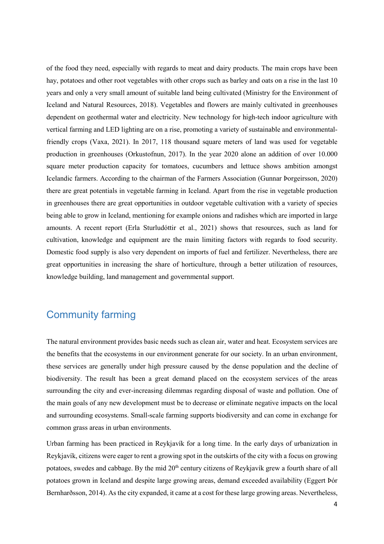of the food they need, especially with regards to meat and dairy products. The main crops have been hay, potatoes and other root vegetables with other crops such as barley and oats on a rise in the last 10 years and only a very small amount of suitable land being cultivated (Ministry for the Environment of Iceland and Natural Resources, 2018). Vegetables and flowers are mainly cultivated in greenhouses dependent on geothermal water and electricity. New technology for high-tech indoor agriculture with vertical farming and LED lighting are on a rise, promoting a variety of sustainable and environmentalfriendly crops (Vaxa, 2021). In 2017, 118 thousand square meters of land was used for vegetable production in greenhouses (Orkustofnun, 2017). In the year 2020 alone an addition of over 10.000 square meter production capacity for tomatoes, cucumbers and lettuce shows ambition amongst Icelandic farmers. According to the chairman of the Farmers Association (Gunnar Þorgeirsson, 2020) there are great potentials in vegetable farming in Iceland. Apart from the rise in vegetable production in greenhouses there are great opportunities in outdoor vegetable cultivation with a variety of species being able to grow in Iceland, mentioning for example onions and radishes which are imported in large amounts. A recent report (Erla Sturludóttir et al., 2021) shows that resources, such as land for cultivation, knowledge and equipment are the main limiting factors with regards to food security. Domestic food supply is also very dependent on imports of fuel and fertilizer. Nevertheless, there are great opportunities in increasing the share of horticulture, through a better utilization of resources, knowledge building, land management and governmental support.

## <span id="page-6-0"></span>Community farming

The natural environment provides basic needs such as clean air, water and heat. Ecosystem services are the benefits that the ecosystems in our environment generate for our society. In an urban environment, these services are generally under high pressure caused by the dense population and the decline of biodiversity. The result has been a great demand placed on the ecosystem services of the areas surrounding the city and ever-increasing dilemmas regarding disposal of waste and pollution. One of the main goals of any new development must be to decrease or eliminate negative impacts on the local and surrounding ecosystems. Small-scale farming supports biodiversity and can come in exchange for common grass areas in urban environments.

Urban farming has been practiced in Reykjavík for a long time. In the early days of urbanization in Reykjavík, citizens were eager to rent a growing spot in the outskirts of the city with a focus on growing potatoes, swedes and cabbage. By the mid 20<sup>th</sup> century citizens of Reykjavík grew a fourth share of all potatoes grown in Iceland and despite large growing areas, demand exceeded availability (Eggert Þór Bernharðsson, 2014). As the city expanded, it came at a cost for these large growing areas. Nevertheless,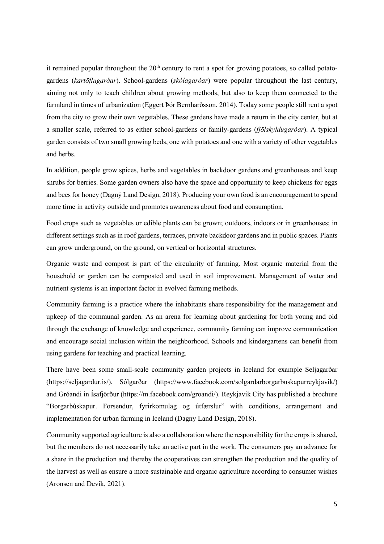it remained popular throughout the  $20<sup>th</sup>$  century to rent a spot for growing potatoes, so called potatogardens (*kartöflugarðar*). School-gardens (*skólagarðar*) were popular throughout the last century, aiming not only to teach children about growing methods, but also to keep them connected to the farmland in times of urbanization (Eggert Þór Bernharðsson, 2014). Today some people still rent a spot from the city to grow their own vegetables. These gardens have made a return in the city center, but at a smaller scale, referred to as either school-gardens or family-gardens (*fjölskyldugarðar*). A typical garden consists of two small growing beds, one with potatoes and one with a variety of other vegetables and herbs.

In addition, people grow spices, herbs and vegetables in backdoor gardens and greenhouses and keep shrubs for berries. Some garden owners also have the space and opportunity to keep chickens for eggs and bees for honey (Dagný Land Design, 2018). Producing your own food is an encouragement to spend more time in activity outside and promotes awareness about food and consumption.

Food crops such as vegetables or edible plants can be grown; outdoors, indoors or in greenhouses; in different settings such as in roof gardens, terraces, private backdoor gardens and in public spaces. Plants can grow underground, on the ground, on vertical or horizontal structures.

Organic waste and compost is part of the circularity of farming. Most organic material from the household or garden can be composted and used in soil improvement. Management of water and nutrient systems is an important factor in evolved farming methods.

Community farming is a practice where the inhabitants share responsibility for the management and upkeep of the communal garden. As an arena for learning about gardening for both young and old through the exchange of knowledge and experience, community farming can improve communication and encourage social inclusion within the neighborhood. Schools and kindergartens can benefit from using gardens for teaching and practical learning.

There have been some small-scale community garden projects in Iceland for example Seljagarðar ([https://seljagardur.is/\),](https://seljagardur.is/)) Sólgarðar [\(https://www.facebook.com/solgardarborgarbuskapurreykjavik/\)](https://www.facebook.com/solgardarborgarbuskapurreykjavik/)) and Gróandi in Ísafjörður [\(https://m.facebook.com/groandi/\)](https://m.facebook.com/groandi/). Reykjavík City has published a brochure "Borgarbúskapur. Forsendur, fyrirkomulag og útfærslur" with conditions, arrangement and implementation for urban farming in Iceland (Dagny Land Design, 2018).

Community supported agriculture is also a collaboration where the responsibility for the crops is shared, but the members do not necessarily take an active part in the work. The consumers pay an advance for a share in the production and thereby the cooperatives can strengthen the production and the quality of the harvest as well as ensure a more sustainable and organic agriculture according to consumer wishes (Aronsen and Devik, 2021).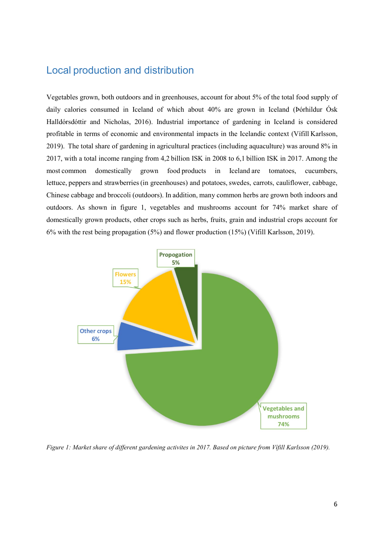## <span id="page-8-0"></span>Local production and distribution

Vegetables grown, both outdoors and in greenhouses, account for about 5% of the total food supply of daily calories consumed in Iceland of which about 40% are grown in Iceland (Þórhildur Ósk Halldórsdóttir and Nicholas, 2016). Industrial importance of gardening in Iceland is considered profitable in terms of economic and environmental impacts in the Icelandic context (Vífill Karlsson, 2019).  The total share of gardening in agricultural practices (including aquaculture) was around 8% in 2017, with a total income ranging from 4,2 billion ISK in 2008 to 6,1 billion ISK in 2017. Among the most common domestically grown food products in Iceland are tomatoes, cucumbers, lettuce, peppers and strawberries(in greenhouses) and potatoes, swedes, carrots, cauliflower, cabbage, Chinese cabbage and broccoli (outdoors). In addition, many common herbs are grown both indoors and outdoors. As shown in figure 1, vegetables and mushrooms account for 74% market share of domestically grown products, other crops such as herbs, fruits, grain and industrial crops account for 6% with the rest being propagation (5%) and flower production (15%) (Vífill Karlsson, 2019).



*Figure 1: Market share of different gardening activites in 2017. Based on picture from Vífill Karlsson (2019).*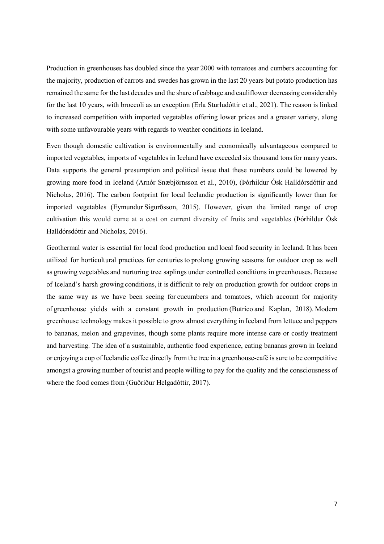Production in greenhouses has doubled since the year 2000 with tomatoes and cumbers accounting for the majority, production of carrots and swedes has grown in the last 20 years but potato production has remained the same for the last decades and the share of cabbage and cauliflower decreasing considerably for the last 10 years, with broccoli as an exception (Erla Sturludóttir et al., 2021). The reason is linked to increased competition with imported vegetables offering lower prices and a greater variety, along with some unfavourable years with regards to weather conditions in Iceland.

Even though domestic cultivation is environmentally and economically advantageous compared to imported vegetables, imports of vegetables in Iceland have exceeded six thousand tons for many years. Data supports the general presumption and political issue that these numbers could be lowered by growing more food in Iceland (Arnór Snæbjörnsson et al., 2010), (Þórhildur Ósk Halldórsdóttir and Nicholas, 2016). The carbon footprint for local Icelandic production is significantly lower than for imported vegetables (Eymundur Sigurðsson, 2015). However, given the limited range of crop cultivation this would come at a cost on current diversity of fruits and vegetables (Þórhildur Ósk Halldórsdóttir and Nicholas, 2016).

Geothermal water is essential for local food production and local food security in Iceland. It has been utilized for horticultural practices for centuries to prolong growing seasons for outdoor crop as well as growing vegetables and nurturing tree saplings under controlled conditions in greenhouses. Because of Iceland's harsh growing conditions, it is difficult to rely on production growth for outdoor crops in the same way as we have been seeing for cucumbers and tomatoes, which account for majority of greenhouse yields with a constant growth in production (Butrico and Kaplan, 2018). Modern greenhouse technology makes it possible to grow almost everything in Iceland from lettuce and peppers to bananas, melon and grapevines, though some plants require more intense care or costly treatment and harvesting. The idea of a sustainable, authentic food experience, eating bananas grown in Iceland or enjoying a cup of Icelandic coffee directly from the tree in a greenhouse-café is sure to be competitive amongst a growing number of tourist and people willing to pay for the quality and the consciousness of where the food comes from (Guðríður Helgadóttir, 2017).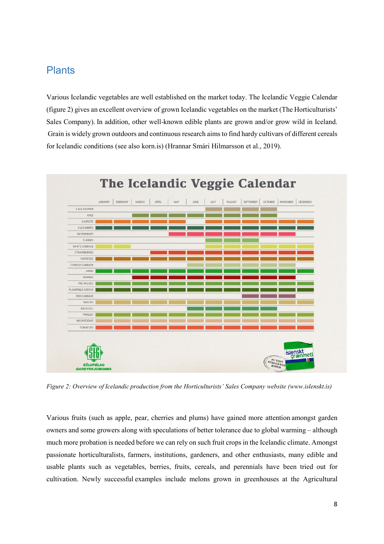#### <span id="page-10-0"></span>**Plants**

Various Icelandic vegetables are well established on the market today. The Icelandic Veggie Calendar (figure 2) gives an excellent overview of grown Icelandic vegetables on the market (The Horticulturists' Sales Company). In addition, other well-known edible plants are grown and/or grow wild in Iceland. Grain is widely grown outdoors and continuous research aims to find hardy cultivars of different cereals for Icelandic conditions (see also korn.is) (Hrannar Smári Hilmarsson et al., 2019).



*Figure 2: Overview of Icelandic production from the Horticulturists' Sales Company website (www.islenskt.is)*

Various fruits (such as apple, pear, cherries and plums) have gained more attention amongst garden owners and some growers along with speculations of better tolerance due to global warming – although much more probation is needed before we can rely on such fruit crops in the Icelandic climate. Amongst passionate horticulturalists, farmers, institutions, gardeners, and other enthusiasts, many edible and usable plants such as vegetables, berries, fruits, cereals, and perennials have been tried out for cultivation. Newly successful examples include melons grown in greenhouses at the Agricultural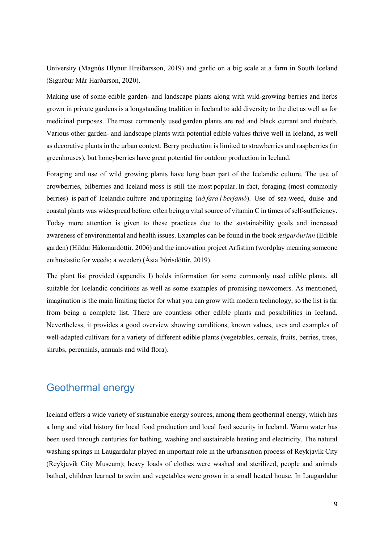University (Magnús Hlynur Hreiðarsson, 2019) and garlic on a big scale at a farm in South Iceland (Sigurður Már Harðarson, 2020).

Making use of some edible garden- and landscape plants along with wild-growing berries and herbs grown in private gardens is a longstanding tradition in Iceland to add diversity to the diet as well as for medicinal purposes. The most commonly used garden plants are red and black currant and rhubarb. Various other garden- and landscape plants with potential edible values thrive well in Iceland, as well as decorative plants in the urban context. Berry production is limited to strawberries and raspberries (in greenhouses), but honeyberries have great potential for outdoor production in Iceland.

Foraging and use of wild growing plants have long been part of the Icelandic culture. The use of crowberries, bilberries and Iceland moss is still the most popular. In fact, foraging (most commonly berries) is part of Icelandic culture and upbringing (*að fara í berjamó*). Use of sea-weed, dulse and coastal plants was widespread before, often being a vital source of vitamin C in times of self-sufficiency. Today more attention is given to these practices due to the sustainability goals and increased awareness of environmental and health issues. Examples can be found in the book *ætigarðurinn* (Edible garden) (Hildur Hákonardóttir, 2006) and the innovation project Arfistinn (wordplay meaning someone enthusiastic for weeds; a weeder) (Ásta Þórisdóttir, 2019).

The plant list provided (appendix I) holds information for some commonly used edible plants, all suitable for Icelandic conditions as well as some examples of promising newcomers. As mentioned, imagination is the main limiting factor for what you can grow with modern technology, so the list is far from being a complete list. There are countless other edible plants and possibilities in Iceland. Nevertheless, it provides a good overview showing conditions, known values, uses and examples of well-adapted cultivars for a variety of different edible plants (vegetables, cereals, fruits, berries, trees, shrubs, perennials, annuals and wild flora).

# <span id="page-11-0"></span>Geothermal energy

Iceland offers a wide variety of sustainable energy sources, among them geothermal energy, which has a long and vital history for local food production and local food security in Iceland. Warm water has been used through centuries for bathing, washing and sustainable heating and electricity. The natural washing springs in Laugardalur played an important role in the urbanisation process of Reykjavík City (Reykjavík City Museum); heavy loads of clothes were washed and sterilized, people and animals bathed, children learned to swim and vegetables were grown in a small heated house. In Laugardalur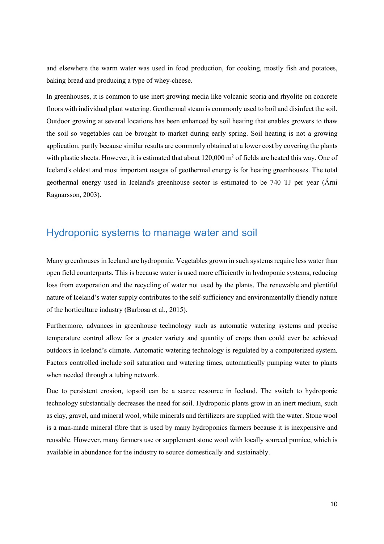and elsewhere the warm water was used in food production, for cooking, mostly fish and potatoes, baking bread and producing a type of whey-cheese.

In greenhouses, it is common to use inert growing media like volcanic scoria and rhyolite on concrete floors with individual plant watering. Geothermal steam is commonly used to boil and disinfect the soil. Outdoor growing at several locations has been enhanced by soil heating that enables growers to thaw the soil so vegetables can be brought to market during early spring. Soil heating is not a growing application, partly because similar results are commonly obtained at a lower cost by covering the plants with plastic sheets. However, it is estimated that about  $120,000$  m<sup>2</sup> of fields are heated this way. One of Iceland's oldest and most important usages of geothermal energy is for heating greenhouses. The total geothermal energy used in Iceland's greenhouse sector is estimated to be 740 TJ per year (Árni Ragnarsson, 2003).

# <span id="page-12-0"></span>Hydroponic systems to manage water and soil

Many greenhouses in Iceland are hydroponic. Vegetables grown in such systems require less water than open field counterparts. This is because water is used more efficiently in hydroponic systems, reducing loss from evaporation and the recycling of water not used by the plants. The renewable and plentiful nature of Iceland's water supply contributes to the self-sufficiency and environmentally friendly nature of the horticulture industry (Barbosa et al., 2015).

Furthermore, advances in greenhouse technology such as automatic watering systems and precise temperature control allow for a greater variety and quantity of crops than could ever be achieved outdoors in Iceland's climate. Automatic watering technology is regulated by a computerized system. Factors controlled include soil saturation and watering times, automatically pumping water to plants when needed through a tubing network.

Due to persistent erosion, topsoil can be a scarce resource in Iceland. The switch to hydroponic technology substantially decreases the need for soil. Hydroponic plants grow in an inert medium, such as clay, gravel, and mineral wool, while minerals and fertilizers are supplied with the water. Stone wool is a man-made mineral fibre that is used by many hydroponics farmers because it is inexpensive and reusable. However, many farmers use or supplement stone wool with locally sourced pumice, which is available in abundance for the industry to source domestically and sustainably.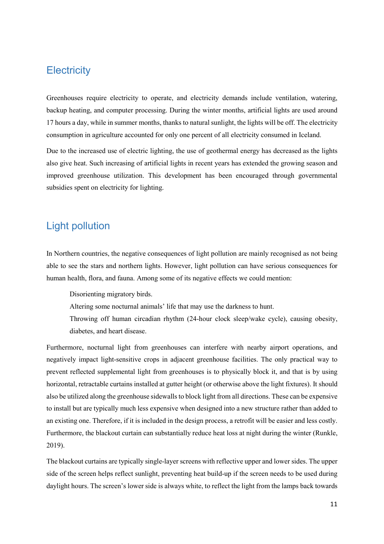## <span id="page-13-0"></span>**Electricity**

Greenhouses require electricity to operate, and electricity demands include ventilation, watering, backup heating, and computer processing. During the winter months, artificial lights are used around 17 hours a day, while in summer months, thanks to natural sunlight, the lights will be off. The electricity consumption in agriculture accounted for only one percent of all electricity consumed in Iceland.

Due to the increased use of electric lighting, the use of geothermal energy has decreased as the lights also give heat. Such increasing of artificial lights in recent years has extended the growing season and improved greenhouse utilization. This development has been encouraged through governmental subsidies spent on electricity for lighting.

# <span id="page-13-1"></span>Light pollution

In Northern countries, the negative consequences of light pollution are mainly recognised as not being able to see the stars and northern lights. However, light pollution can have serious consequences for human health, flora, and fauna. Among some of its negative effects we could mention:

D[isorienting migratory birds.](https://www.nature.com/articles/s41598-018-21577-6)

Altering some nocturnal animals' life that may use the darkness to hunt.

Throwing off human circadian rhythm (24-hour clock sleep/wake cycle), causing obesity, diabetes, and heart disease.

Furthermore, nocturnal light from greenhouses can interfere with nearby airport operations, and negatively impact light-sensitive crops in adjacent greenhouse facilities. The only practical way to prevent reflected supplemental light from greenhouses is to physically block it, and that is by using horizontal, retractable curtains installed at gutter height (or otherwise above the light fixtures). It should also be utilized along the greenhouse sidewalls to block light from all directions. These can be expensive to install but are typically much less expensive when designed into a new structure rather than added to an existing one. Therefore, if it is included in the design process, a retrofit will be easier and less costly. Furthermore, the blackout curtain can substantially reduce heat loss at night during the winter (Runkle, 2019).

The blackout curtains are typically single-layer screens with reflective upper and lower sides. The upper side of the screen helps reflect sunlight, preventing heat build-up if the screen needs to be used during daylight hours. The screen's lower side is always white, to reflect the light from the lamps back towards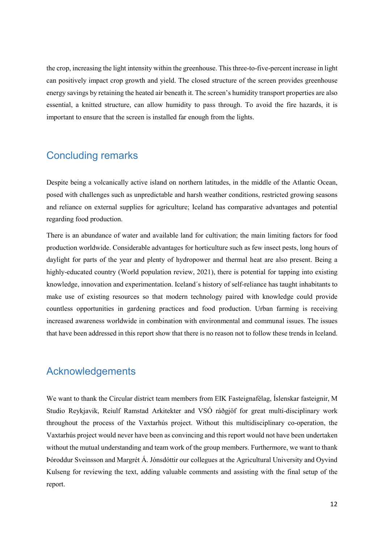the crop, increasing the light intensity within the greenhouse. This three-to-five-percent increase in light can positively impact crop growth and yield. The closed structure of the screen provides greenhouse energy savings by retaining the heated air beneath it. The screen's humidity transport properties are also essential, a knitted structure, can allow humidity to pass through. To avoid the fire hazards, it is important to ensure that the screen is installed far enough from the lights.

# <span id="page-14-0"></span>Concluding remarks

Despite being a volcanically active island on northern latitudes, in the middle of the Atlantic Ocean, posed with challenges such as unpredictable and harsh weather conditions, restricted growing seasons and reliance on external supplies for agriculture; Iceland has comparative advantages and potential regarding food production.

There is an abundance of water and available land for cultivation; the main limiting factors for food production worldwide. Considerable advantages for horticulture such as few insect pests, long hours of daylight for parts of the year and plenty of hydropower and thermal heat are also present. Being a highly-educated country (World population review, 2021), there is potential for tapping into existing knowledge, innovation and experimentation. Iceland´s history of self-reliance has taught inhabitants to make use of existing resources so that modern technology paired with knowledge could provide countless opportunities in gardening practices and food production. Urban farming is receiving increased awareness worldwide in combination with environmental and communal issues. The issues that have been addressed in this report show that there is no reason not to follow these trends in Iceland.

#### <span id="page-14-1"></span>Acknowledgements

We want to thank the Circular district team members from EIK Fasteignafélag, Íslenskar fasteignir, M Studio Reykjavik, Reiulf Ramstad Arkitekter and VSÓ ráðgjöf for great multi-disciplinary work throughout the process of the Vaxtarhús project. Without this multidisciplinary co-operation, the Vaxtarhús project would never have been as convincing and this report would not have been undertaken without the mutual understanding and team work of the group members. Furthermore, we want to thank Þóroddur Sveinsson and Margrét Á. Jónsdóttir our collegues at the Agricultural University and Oyvind Kulseng for reviewing the text, adding valuable comments and assisting with the final setup of the report.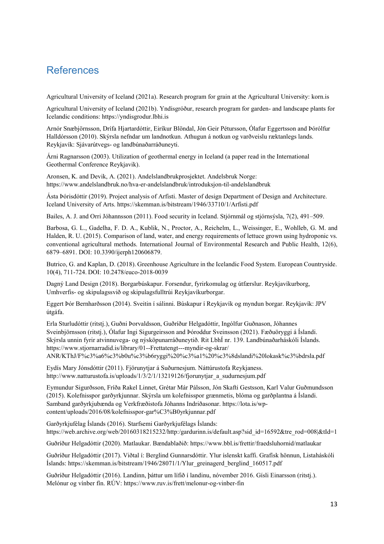# <span id="page-15-0"></span>References

Agricultural University of Iceland (2021a). Research program for grain at the Agricultural University: korn.is

Agricultural University of Iceland (2021b). Yndisgróður, research program for garden- and landscape plants for Icelandic conditions: [https://yndisgrodur.lbhi.is](https://yndisgrodur.lbhi.is/)

Arnór Snæbjörnsson, Drífa Hjartardóttir, Eiríkur Blöndal, Jón Geir Pétursson, Ólafur Eggertsson and Þórólfur Halldórsson (2010). Skýrsla nefndar um landnotkun. Athugun á notkun og varðveislu ræktanlegs lands. Reykjavík: Sjávarútvegs- og landbúnaðarráðuneyti.

Árni Ragnarsson (2003). Utilization of geothermal energy in Iceland (a paper read in the International Geothermal Conference Reykjavik).

Aronsen, K. and Devik, A. (2021). Andelslandbrukprosjektet. Andelsbruk Norge: [https://www.andelslandbruk.no/hva](https://www.andelslandbruk.no/hva-er-andelslandbruk/introduksjon-til-andelslandbruk)-er-andelslandbruk/introduksjon-til-andelslandbruk

Ásta Þórisdóttir (2019). Project analysis of Arfisti. Master of design Department of Design and Architecture. Iceland University of Arts. https://skemman.is/bitstream/1946/33710/1/Arfisti.pdf

Bailes, A. J. and Orri Jóhannsson (2011). Food security in Iceland. Stjórnmál og stjórnsýsla, 7(2), 491–509.

Barbosa, G. L., Gadelha, F. D. A., Kublik, N., Proctor, A., Reichelm, L., Weissinger, E., Wohlleb, G. M. and Halden, R. U. (2015). Comparison of land, water, and energy requirements of lettuce grown using hydroponic vs. conventional agricultural methods. International Journal of Environmental Research and Public Health, 12(6), 6879–6891. DOI: 10.3390/ijerph120606879.

Butrico, G. and Kaplan, D. (2018). Greenhouse Agriculture in the Icelandic Food System. European Countryside. 10(4), 711-724. DOI: [10.2478/euco](http://dx.doi.org/10.2478/euco-2018-0039)-2018-0039

Dagný Land Design (2018). Borgarbúskapur. Forsendur, fyrirkomulag og útfærslur. Reykjavíkurborg, Umhverfis- og skipulagssvið og skipulagsfulltrúi Reykjavíkurborgar.

Eggert Þór Bernharðsson (2014). Sveitin í sálinni. Búskapur í Reykjavík og myndun borgar. Reykjavík: JPV útgáfa.

Erla Sturludóttir (ritstj.), Guðni Þorvaldsson, Guðríður Helgadóttir, Ingólfur Guðnason, Jóhannes Sveinbjörnsson (ritstj.), Ólafur Ingi Sigurgeirsson and Þóroddur Sveinsson (2021). Fæðuöryggi á Íslandi. Skýrsla unnin fyrir atvinnuvega- og nýsköpunarráðuneytið. Rit LbhÍ nr. 139. Landbúnaðarháskóli Íslands. [https://www.stjornarradid.is/library/01](https://www.stjornarradid.is/library/01--Frettatengt---myndir-og-skrar/%20ANR/KThJ/F%c3%a6%c3%b0u%c3%b6ryggi%20%c3%a1%20%c3%8dslandi%20lokask%c3%bdrsla.pdf)--Frettatengt---myndir-og-skrar/ [ANR/KThJ/F%c3%a6%c3%b0u%c3%b6ryggi%20%c3%a1%20%c3%8dslandi%20lokask%c3%bdrsla.pdf](https://www.stjornarradid.is/library/01--Frettatengt---myndir-og-skrar/%20ANR/KThJ/F%c3%a6%c3%b0u%c3%b6ryggi%20%c3%a1%20%c3%8dslandi%20lokask%c3%bdrsla.pdf)

Eydís Mary Jónsdóttir (2011). Fjörunytjar á Suðurnesjum. Náttúrustofa Reykjaness. http://www.natturustofa.is/uploads/1/3/2/1/13219126/fjorunytjar\_a\_sudurnesjum.pdf

Eymundur Sigurðsson, Fríða Rakel Linnet, Grétar Már Pálsson, Jón Skafti Gestsson, Karl Valur Guðmundsson (2015). Kolefnisspor garðyrkjunnar. Skýrsla um kolefnisspor grænmetis, blóma og garðplantna á Íslandi. Samband garðyrkjubænda og Verkfræðistofa Jóhanns Indriðasonar. [https://lota.is/wp](https://lota.is/wp-content/uploads/2016/08/kolefnisspor-gar%C3%B0yrkjunnar.pdf)[content/uploads/2016/08/kolefnisspor](https://lota.is/wp-content/uploads/2016/08/kolefnisspor-gar%C3%B0yrkjunnar.pdf)-gar%C3%B0yrkjunnar.pdf

Garðyrkjufélag Íslands (2016). Starfsemi Garðyrkjufélags Íslands: [https://web.archive.org/web/20160318215232/http:/gardurinn.is/default.asp?sid\\_id=16592&tre\\_rod=008|&tId=1](https://web.archive.org/web/20160318215232/http:/gardurinn.is/default.asp?sid_id=16592&tre_rod=008|&tId=1)

Guðríður Helgadóttir (2020). Matlaukar. Bændablaðið: https://www.bbl.is/frettir/fraedsluhornid/matlaukar

Guðríður Helgadóttir (2017). Viðtal í: Berglind Gunnarsdóttir. Ylur íslenskt kaffi. Grafísk hönnun, Listaháskóli Íslands: https://skemman.is/bitstream/1946/28071/1/Ylur\_greinagerd\_berglind\_160517.pdf

Guðríður Helgadóttir (2016). Landinn, þáttur um lífið í landinu, nóvember 2016. Gísli Einarsson (ritstj.). Melónur og vínber fín. RÚV: https://www.ruv.is/frett/melonur-og-vinber-fin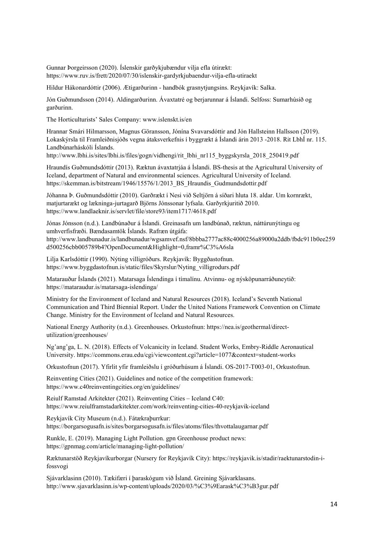Gunnar Þorgeirsson (2020). Íslenskir garðykjubændur vilja efla útirækt: [https://www.ruv.is/frett/2020/07/30/islenskir](https://www.ruv.is/frett/2020/07/30/islenskir-gardyrkjubaendur-vilja-efla-utiraekt)-gardyrkjubaendur-vilja-efla-utiraekt

Hildur Hákonardóttir (2006). Ætigarðurinn - handbók grasnytjungsins. Reykjavík: Salka.

Jón Guðmundsson (2014). Aldingarðurinn. Ávaxtatré og berjarunnar á Íslandi. Selfoss: Sumarhúsið og garðurinn.

The Horticulturists' Sales Company: [www.islenskt.is/en](http://www.islenskt.is/en)

Hrannar Smári Hilmarsson, Magnus Göransson, Jónína Svavarsdóttir and Jón Hallsteinn Hallsson (2019). Lokaskýrsla til Framleiðnisjóðs vegna átaksverkefnis í byggrækt á Íslandi árin 2013 -2018. Rit LbhÍ nr. 115. Landbúnarháskóli Íslands.

http://www.lbhi.is/sites/lbhi.is/files/gogn/vidhengi/rit\_lbhi\_nr115\_byggskyrsla\_2018\_250419.pdf

Hraundís Guðmundsdóttir (2013). Ræktun ávaxtatrjáa á Íslandi. BS-thesis at the Agricultural University of Iceland, department of Natural and environmental sciences. Agricultural University of Iceland. https://skemman.is/bitstream/1946/15576/1/2013 BS Hraundis Gudmundsdottir.pdf

Jóhanna Þ. Guðmundsdóttir (2010). Garðrækt í Nesi við Seltjörn á síðari hluta 18. aldar. Um kornrækt, matjurtarækt og lækninga-jurtagarð Björns Jónssonar lyfsala. Garðyrkjuritið 2010. <https://www.landlaeknir.is/servlet/file/store93/item1717/4618.pdf>

Jónas Jónsson (n.d.). Landbúnaður á Íslandi. Greinasafn um landbúnað, ræktun, náttúrunýtingu og umhverfisfræði. Bændasamtök Íslands. Rafræn útgáfa: [http://www.landbunadur.is/landbunadur/wgsamvef.nsf/8bbba2777ac88c4000256a89000a2ddb/fbdc911b0ee259](http://www.landbunadur.is/landbunadur/wgsamvef.nsf/8bbba2777ac88c4000256a89000a2ddb/fbdc911b0ee259d500256cbb005789b4?OpenDocument&Highlight=0,framr%C3%A6sla) [d500256cbb005789b4?OpenDocument&Highlight=0,framr%C3%A6sla](http://www.landbunadur.is/landbunadur/wgsamvef.nsf/8bbba2777ac88c4000256a89000a2ddb/fbdc911b0ee259d500256cbb005789b4?OpenDocument&Highlight=0,framr%C3%A6sla)

Lilja Karlsdóttir (1990). Nýting villigróðurs. Reykjavík: Byggðastofnun. https://www.byggdastofnun.is/static/files/Skyrslur/Nyting\_villigrodurs.pdf

Matarauður Íslands (2021). Matarsaga Íslendinga í tímalínu. Atvinnu- og nýsköpunarráðuneytið: [https://mataraudur.is/matarsaga](https://mataraudur.is/matarsaga-islendinga/)-islendinga/

Ministry for the Environment of Iceland and Natural Resources (2018). Iceland's Seventh National Communication and Third Biennial Report. Under the United Nations Framework Convention on Climate Change. Ministry for the Environment of Iceland and Natural Resources.

National Energy Authority (n.d.). Greenhouses. Orkustofnun: [https://nea.is/geothermal/direct](https://nea.is/geothermal/direct-utilization/greenhouses/)[utilization/greenhouses/](https://nea.is/geothermal/direct-utilization/greenhouses/)

Ng'ang'ga, L. N. (2018). Effects of Volcanicity in Iceland. Student Works, Embry-Riddle Aeronautical University. https://commons.erau.edu/cgi/viewcontent.cgi?article=1077&context=student-works

Orkustofnun (2017). Yfirlit yfir framleiðslu í gróðurhúsum á Íslandi. OS-2017-T003-01, Orkustofnun.

Reinventing Cities (2021). Guidelines and notice of the competition framework: <https://www.c40reinventingcities.org/en/guidelines/>

Reiulf Ramstad Arkitekter (2021). Reinventing Cities – Iceland C40: https://www.reiulframstadarkitekter.com/work/reinventing-cities-40-reykjavik-iceland

Reykjavík City Museum (n.d.). Fátækraþurrkur: https://borgarsogusafn.is/sites/borgarsogusafn.is/files/atoms/files/thvottalaugarnar.pdf

Runkle, E. (2019). Managing Light Pollution. gpn Greenhouse product news: [https://gpnmag.com/article/managing](https://gpnmag.com/article/managing-light-pollution/)-light-pollution/

Ræktunarstöð Reykjavíkurborgar (Nursery for Reykjavík City): https://reykjavik.is/stadir/raektunarstodin-ifossvogi

Sjávarklasinn (2010). Tækifæri í þaraskógum við Ísland. Greining Sjávarklasans. http://www.sjavarklasinn.is/wp-content/uploads/2020/03/%C3%9Earask%C3%B3gur.pdf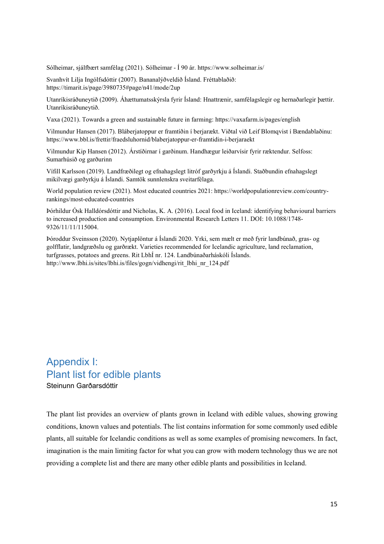Sólheimar, sjálfbært samfélag (2021). Sólheimar - Í 90 ár.<https://www.solheimar.is/>

Svanhvít Lilja Ingólfsdóttir (2007). Bananalýðveldið Ísland. Fréttablaðið: https://timarit.is/page/3980735#page/n41/mode/2up

Utanríkisráðuneytið (2009). Áhættumatsskýrsla fyrir Ísland: Hnattrænir, samfélagslegir og hernaðarlegir þættir. Utanríkisráðuneytið.

Vaxa (2021). Towards a green and sustainable future in farming:<https://vaxafarm.is/pages/english>

Vilmundur Hansen (2017). Bláberjatoppur er framtíðin í berjarækt. Viðtal við Leif Blomqvist í Bændablaðinu: https://www.bbl.is/frettir/fraedsluhornid/blaberjatoppur-er-framtidin-i-berjaraekt

Vilmundur Kip Hansen (2012). Árstíðirnar í garðinum. Handhægur leiðarvísir fyrir ræktendur. Selfoss: Sumarhúsið og garðurinn

Vífill Karlsson (2019). Landfræðilegt og efnahagslegt litróf garðyrkju á Íslandi. Staðbundin efnahagslegt mikilvægi garðyrkju á Íslandi. Samtök sunnlenskra sveitarfélaga.

World population review (2021). Most educated countries 2021: https://worldpopulationreview.com/countryrankings/most-educated-countries

Þórhildur Ósk Halldórsdóttir and Nicholas, K. A. (2016). Local food in Iceland: identifying behavioural barriers to increased production and consumption. Environmental Research Letters 11. DOI: 10.1088/1748- 9326/11/11/115004.

Þóroddur Sveinsson (2020). Nytjaplöntur á Íslandi 2020. Yrki, sem mælt er með fyrir landbúnað, gras- og golfflatir, landgræðslu og garðrækt. Varieties recommended for Icelandic agriculture, land reclamation, turfgrasses, potatoes and greens. Rit LbhÍ nr. 124. Landbúnaðarháskóli Íslands. http://www.lbhi.is/sites/lbhi.is/files/gogn/vidhengi/rit\_lbhi\_nr\_124.pdf

<span id="page-17-0"></span>Appendix I: Plant list for edible plants Steinunn Garðarsdóttir

The plant list provides an overview of plants grown in Iceland with edible values, showing growing conditions, known values and potentials. The list contains information for some commonly used edible plants, all suitable for Icelandic conditions as well as some examples of promising newcomers. In fact, imagination is the main limiting factor for what you can grow with modern technology thus we are not providing a complete list and there are many other edible plants and possibilities in Iceland.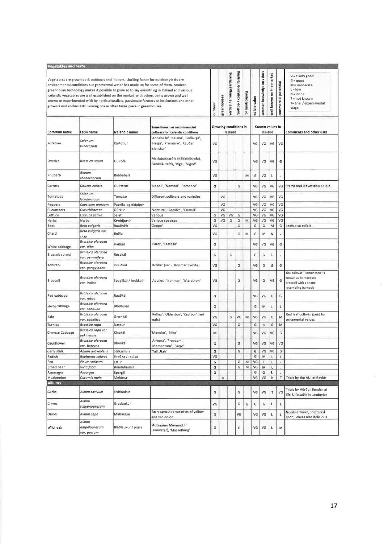| <b>Vegetables and herbs</b> |                                       |                                                                                                                                                                   |                                                                                                                                                                                                                                                                                                                                                                                |         |             |                            |                             |                 |              |                            |                          |                      |                                                                                                                                    |
|-----------------------------|---------------------------------------|-------------------------------------------------------------------------------------------------------------------------------------------------------------------|--------------------------------------------------------------------------------------------------------------------------------------------------------------------------------------------------------------------------------------------------------------------------------------------------------------------------------------------------------------------------------|---------|-------------|----------------------------|-----------------------------|-----------------|--------------|----------------------------|--------------------------|----------------------|------------------------------------------------------------------------------------------------------------------------------------|
|                             |                                       | Vegetables are grown both outdoors and indoors. Limiting factor for outdoor yields are<br>growers and enthusiasts. Sowing phase often takes place in greenhouses. | environmental conditions but geothermal water has made up for some of them. Modern<br>greenhouse technology makes it possible to grow so to say everything in Iceland and various<br>Icelandic vegetables are well established on the market with others being grown and well<br>known or experimented with by horticulturalists, passionate farmers or institutions and other | outdoor | greenhouses | vertical farming/gardening | rooftop / container farming | for landscaping | edible value | common knowledge on values | well known on the market | commercial potential | $VG = very good$<br>$G = good$<br>$M = moderate$<br>$L = low$<br>$N = none$<br>$? = not known$<br>T= trial / experimental<br>stage |
| Common name                 | Latin name                            | Icelandic name                                                                                                                                                    | Some known or recommended<br>cultivars for Icelandic conditions                                                                                                                                                                                                                                                                                                                |         |             | Iceland                    | Growing conditions in       |                 |              | Known values in<br>Iceland |                          |                      | Comments and other uses                                                                                                            |
| Potatoes                    | Solanum<br>tuberosum                  | Kartöflur                                                                                                                                                         | 'Annabelle', 'Belana', 'Gullauga',<br>'Helga', 'Premiere', 'Rauðar<br>íslenskar <sup>i</sup>                                                                                                                                                                                                                                                                                   | VG      |             |                            |                             |                 | VG           | VG                         | VG                       | VG                   |                                                                                                                                    |
| Swedes                      | Brassica napus                        | Gulrófa                                                                                                                                                           | Maríubakkarófa (Kálfafellsrófa),<br>Sandvíkurrófa, 'Vige', 'Vigod'                                                                                                                                                                                                                                                                                                             | VG      |             |                            |                             |                 | VG           | VG                         | VG                       | G                    |                                                                                                                                    |
| Rhubarb                     | Rheum<br>rhabarbarum                  | Rabbabari                                                                                                                                                         |                                                                                                                                                                                                                                                                                                                                                                                | VG      |             |                            |                             | M               | G            | VG                         | L                        | L                    |                                                                                                                                    |
| Carrots                     | Daucus carota                         | Guirætur                                                                                                                                                          | 'Napoli', 'Namdal', 'Romance'                                                                                                                                                                                                                                                                                                                                                  | G       |             |                            | G                           |                 | VG           | VG                         | VG                       |                      | VG Stems and leaves also edible                                                                                                    |
| Tomatoes                    | Solanum<br>lvcopersicum               | Tómatar                                                                                                                                                           | Different culitvars and varieties                                                                                                                                                                                                                                                                                                                                              |         | VG          |                            |                             |                 | VG           | VG                         | VG                       | VG                   |                                                                                                                                    |
| Peppers                     | Capsicum annuum                       | Papríka og eldpipar                                                                                                                                               |                                                                                                                                                                                                                                                                                                                                                                                |         | VG          |                            |                             |                 | VG           | VG                         | VG                       | VG                   |                                                                                                                                    |
| Cucumbers                   | Cucurbitaceae                         | Gúrkur                                                                                                                                                            | 'Ventura', 'Rapides', 'Cumuli'                                                                                                                                                                                                                                                                                                                                                 |         | VG          |                            |                             |                 | VG           | VG                         | VG                       | VG                   |                                                                                                                                    |
| Lettuce                     | Lactuca sativa                        | Salat                                                                                                                                                             | Various                                                                                                                                                                                                                                                                                                                                                                        | G       | VG          | VG                         | G                           |                 | VG           | VG                         | VG                       | VG                   |                                                                                                                                    |
| Herbs                       | Herba                                 | Kryddjurtir                                                                                                                                                       | Various specices                                                                                                                                                                                                                                                                                                                                                               | G       | VG          | G                          | G                           | M               | VG           | VG                         | VG                       | VG                   |                                                                                                                                    |
| Beet                        | Beta vulgaris                         | Rauðrófa                                                                                                                                                          | 'Zeppo'                                                                                                                                                                                                                                                                                                                                                                        | VG      |             |                            | G                           |                 | G            | G                          | M                        | G                    | Leafs also edible                                                                                                                  |
| Chard                       | Beta vulgaris var.<br>cicla           | Beðja                                                                                                                                                             |                                                                                                                                                                                                                                                                                                                                                                                | VG      |             |                            | G                           | M               | G            | M                          | Ν                        | L                    |                                                                                                                                    |
| White cabbage               | Brassica oleracea<br>var. alba        | Hvítkál                                                                                                                                                           | 'Parel', 'Castello'                                                                                                                                                                                                                                                                                                                                                            | G       |             |                            |                             |                 | VG           | VG                         | VG                       | G                    |                                                                                                                                    |
| Brussels sprout             | Brassica oleracea<br>var. gemmifera   | Rósakál                                                                                                                                                           |                                                                                                                                                                                                                                                                                                                                                                                | G       |             | G                          |                             |                 | G            | G                          |                          |                      |                                                                                                                                    |
| Kohlrabi                    | Brassica oleracea<br>var. gongylodes  | Hnúðkál                                                                                                                                                           | 'Kolibri' (red), 'Konmar' (white)                                                                                                                                                                                                                                                                                                                                              | VG      |             |                            | G                           |                 | VG           | G                          | G                        | G                    |                                                                                                                                    |
| Broccoli                    | Brassica oleracea<br>var. italica     | Spegilkál / brokkolí                                                                                                                                              | 'Aquiles', 'Ironman', 'Marathon'                                                                                                                                                                                                                                                                                                                                               | VG      |             |                            | G                           |                 | VG           | G                          | VG                       | G                    | The cultivar "Romanesco' is<br>known as Romanesco<br>broccoli with a shape<br>resembling barnacle                                  |
| Red cabbage                 | Brassica oleracea<br>var. rubra       | Rauðkál                                                                                                                                                           |                                                                                                                                                                                                                                                                                                                                                                                | G       |             |                            |                             |                 | VG           | VG                         | G                        | G                    |                                                                                                                                    |
| Savoj cabbage               | Brassica oleracea<br>var. sabauda     | Blöðrukál                                                                                                                                                         |                                                                                                                                                                                                                                                                                                                                                                                | G       |             |                            |                             |                 | G            | M                          |                          | L                    |                                                                                                                                    |
| Kale                        | Brassica oleracea<br>var. sabellica   | Grænkál                                                                                                                                                           | 'Reflex', 'Oldenbor', 'Red bor' (red<br>leafs)                                                                                                                                                                                                                                                                                                                                 | VG      |             | G                          | VG                          | M               | VG           | VG                         | G                        | M                    | Red leaf cultivar great for<br>ornamental values                                                                                   |
| Turnips                     | Brassica rapa                         | Næpur                                                                                                                                                             |                                                                                                                                                                                                                                                                                                                                                                                | VG      |             |                            | G                           |                 | G            | G                          | G                        | M                    |                                                                                                                                    |
| <b>Chinese Cabbage</b>      | Brassica rapa var.<br>pekinensis      | Kínakál                                                                                                                                                           | 'Manoko', 'Bilko'                                                                                                                                                                                                                                                                                                                                                              | M       |             |                            |                             |                 | VG           | VG                         | VG                       | G                    |                                                                                                                                    |
| Cauliflower                 | Brassico oleracea<br>var. botrytis    | Blómkál                                                                                                                                                           | 'Arizona', 'Freedom',<br>'Momentum', 'Fargo'                                                                                                                                                                                                                                                                                                                                   | G       |             |                            | G                           |                 | VG           | VG                         | VG                       | VG                   |                                                                                                                                    |
| Cerly stalk                 | Apium graveolens                      | Stilkselleri                                                                                                                                                      | 'Tall Utah'                                                                                                                                                                                                                                                                                                                                                                    | G       |             |                            | G                           |                 | $\mathbb{G}$ | VG                         | VG                       | G                    |                                                                                                                                    |
| Radish                      | Raphanus sativus                      | Hreðka / radísa                                                                                                                                                   |                                                                                                                                                                                                                                                                                                                                                                                | VG      |             |                            |                             |                 | G            | M                          | Г                        | L                    |                                                                                                                                    |
| Pea                         | Pisum sativum                         | Ertur                                                                                                                                                             |                                                                                                                                                                                                                                                                                                                                                                                | G       |             |                            | G                           | M               | VG           |                            | Г                        | L                    |                                                                                                                                    |
| Broad bean                  | Vicia faba                            | Bóndabaunir                                                                                                                                                       |                                                                                                                                                                                                                                                                                                                                                                                | G       |             |                            | G                           | M               | VG           | м                          | L                        | L                    |                                                                                                                                    |
| Asparagus                   | Aspargus                              | Spergill                                                                                                                                                          |                                                                                                                                                                                                                                                                                                                                                                                | G       |             |                            |                             |                 | G            | G                          | г                        | L                    |                                                                                                                                    |
| Muskmelon                   | Cucumis melo                          | Melónur                                                                                                                                                           |                                                                                                                                                                                                                                                                                                                                                                                |         | G           |                            |                             |                 | VG           | VG                         | N                        | T                    | Trials by the AUI at Reykir                                                                                                        |
| <b>Alliums</b>              |                                       |                                                                                                                                                                   |                                                                                                                                                                                                                                                                                                                                                                                |         |             |                            |                             |                 |              |                            |                          |                      |                                                                                                                                    |
| Garlic                      | Allium sativum                        | Hvítlaukur                                                                                                                                                        |                                                                                                                                                                                                                                                                                                                                                                                | G       |             |                            | G                           |                 | VG           | VG                         | T                        | VG                   | Trials by Hörður Bender at<br>Efri Úlfsstaðir in Landeyjar                                                                         |
| Chives                      | Allium<br>schoenoprasum               | Graslaukur                                                                                                                                                        |                                                                                                                                                                                                                                                                                                                                                                                | VG      |             |                            | G                           | G               | G            | G                          | Ł                        | г                    |                                                                                                                                    |
| Onion                       | Allium cepa                           | Matlaukur                                                                                                                                                         | Early-sprouted varieties of yellow<br>and red onion                                                                                                                                                                                                                                                                                                                            | G       |             |                            | VG                          |                 | VG           | VG                         | L                        |                      | Needs a warm, sheltered<br>spot. Leaves also delicious.                                                                            |
| Wild leek                   | Allium<br>ampeloprasum<br>var, porrum | Blaðlaukur / púrra                                                                                                                                                | 'Autmumn Mammoth'<br>(snowstar), 'Musselburg'                                                                                                                                                                                                                                                                                                                                  | G       |             |                            | G                           |                 | VG           | VG                         | Г                        | M                    |                                                                                                                                    |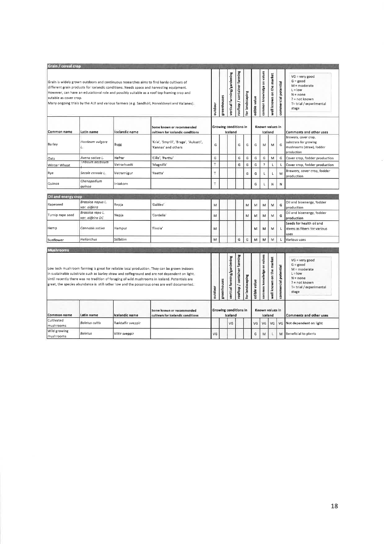| Grain / cereal crop       |                                      |                  |                                                                                                                                                                                                                                                                                                                                                                                                |         |             |                                  |                             |                 |                            |                            |                          |                         |                                                                                                                                           |
|---------------------------|--------------------------------------|------------------|------------------------------------------------------------------------------------------------------------------------------------------------------------------------------------------------------------------------------------------------------------------------------------------------------------------------------------------------------------------------------------------------|---------|-------------|----------------------------------|-----------------------------|-----------------|----------------------------|----------------------------|--------------------------|-------------------------|-------------------------------------------------------------------------------------------------------------------------------------------|
| sutable as cover crop.    |                                      |                  | Grain is widely grown outdoors and continuous researches aims to find hardy cultivars of<br>different grain products for Icelandic conditions. Needs space and harvesting equipment.<br>However, can have an educational role and possibly suitable as a roof top framing crop and<br>Many ongoing trials by the AUI and various farmers (e.g. Sandholl, Porvaldseyri and Vallanes).           | outdoor | greenhouses | vertical farming/gardening       | rooftop / container farming | for landscaping | edible value               | common knowledge on values | well known on the market | potential<br>commercial | $VG = very good$<br>$G = good$<br>$M = moderate$<br>$L = low$<br>$N = none$<br>? = not known<br>T= trial / experimental<br>stage          |
| Common name               | Latin name                           | Icelandic name   | Some known or recommended<br>cultivars for Icelandic conditions                                                                                                                                                                                                                                                                                                                                |         |             | Growing conditions in<br>Iceland |                             |                 | Known values in<br>Iceland |                            |                          |                         | Comments and other uses                                                                                                                   |
| Barley                    | Hordeum vulgare<br>L.                | Bygg             | 'Kría', 'Smyrill', 'Brage', 'Aukusti',<br>'Kannas' and others                                                                                                                                                                                                                                                                                                                                  | G       |             |                                  | G                           | G               | G                          | M                          | M                        | G                       | Brewery, cover crop,<br>substrate for growing<br>mushrooms (straw), fodder<br>production                                                  |
| Oats                      | Avena sativa L.                      | Hafrar           | 'Cilla', 'Perttu'                                                                                                                                                                                                                                                                                                                                                                              | G       |             |                                  | G                           | G               | G                          | G                          | M                        | G                       | Cover crop, fodder production                                                                                                             |
| Winter Wheat              | Inticum aestivum                     | Vetrarhveiti     | 'Magnifik'                                                                                                                                                                                                                                                                                                                                                                                     | T       |             |                                  | G                           | G               | G                          | $\hat{\mathbf{z}}$         | L                        | г                       | Cover crop, fodder production                                                                                                             |
| Rye                       | Secale cereale L.                    | Vetrarrúgur      | 'Reetta'                                                                                                                                                                                                                                                                                                                                                                                       | T       |             |                                  |                             | G               | G                          |                            |                          | M                       | Brewery, cover crop, fodder<br>production                                                                                                 |
| Quinoa                    | Chenopodium<br>quinoa                | Inkakorn         |                                                                                                                                                                                                                                                                                                                                                                                                | T       |             |                                  |                             |                 | G                          |                            | N                        | N                       |                                                                                                                                           |
| Oil and energy crop       |                                      |                  |                                                                                                                                                                                                                                                                                                                                                                                                |         |             |                                  |                             |                 |                            |                            |                          |                         |                                                                                                                                           |
| Rapeseed                  | Brassica napus L.<br>var. olifeira   | Repja            | Galileo'                                                                                                                                                                                                                                                                                                                                                                                       | M       |             |                                  |                             | M               | M                          | М                          | M                        | G                       | Oil and bioenergy, fodder<br>production                                                                                                   |
| Turnip rape seed          | Brassica rapa L.<br>var. olifeira DC | Nepja            | 'Cordelia'                                                                                                                                                                                                                                                                                                                                                                                     | м       |             |                                  |                             | M               | М                          | м                          | М                        | G                       | Oil and bioenergy, fodder<br>production                                                                                                   |
| Hemp                      | Cannabis sativa                      | Hampur           | 'Finola'                                                                                                                                                                                                                                                                                                                                                                                       | м       |             |                                  |                             |                 | м                          | м                          | м                        | L                       | Seeds for health oil and<br>stems as fibers for various<br>uses                                                                           |
| Sunflower                 | Helianthus                           | Sólblóm          |                                                                                                                                                                                                                                                                                                                                                                                                | M       |             |                                  | G                           | G               | M                          | M                          | M                        |                         | Various uses                                                                                                                              |
|                           |                                      |                  |                                                                                                                                                                                                                                                                                                                                                                                                |         |             |                                  |                             |                 |                            |                            |                          |                         |                                                                                                                                           |
| <b>Mushrooms</b>          |                                      |                  | Low tech mushroom farming is great for reliable local production. They can be grown indoors<br>in sustainable substrate such as barley straw and coffeground and are not dependent on light.<br>Until recently there was no tradition of foraging of wild mushrooms in Iceland. Potentials are<br>great, the species abundance is still rather low and the poisonous ones are well documented. | outdoo  | greenhouses | vertical farming/gardening       | rooftop / container farming | for landscaping | edible value               | common knowledge on values | well known on the market | potential<br>commercial | $VG = very good$<br>$G = \text{good}$<br>$M = moderate$<br>$L =$ low<br>$N = none$<br>$? = not known$<br>T= trial / experimental<br>stage |
| Common name               | Latin name                           | Icelandic name   | Some known or recommended<br>cultivars for Icelandic conditions                                                                                                                                                                                                                                                                                                                                |         |             | Growing conditions in<br>Iceland |                             |                 | Known values in<br>Iceland |                            |                          |                         | Comments and other uses                                                                                                                   |
| Cultivated<br>mushrooms   | <b>Boletus</b> cultis                | Ræktaðir sveppir |                                                                                                                                                                                                                                                                                                                                                                                                |         |             | VG                               |                             |                 | VG                         | VG                         | VG                       | VG                      | Not dependent on light                                                                                                                    |
| Wild growing<br>mushrooms | <b>Boletus</b>                       | Viltir sveppir   |                                                                                                                                                                                                                                                                                                                                                                                                | VG      |             |                                  |                             |                 | G                          | M                          |                          |                         | M Beneficial to plants                                                                                                                    |

 $\bar{b}$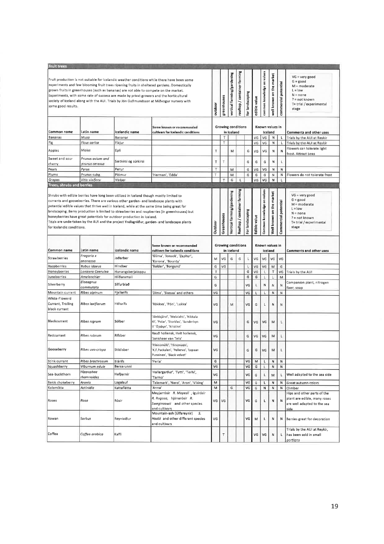| <b>Fruit trees</b>                                  |                                                                                                 |                                                                                                                                                                                                                                                                                                                                                        |                                                                                                                                                                                                                                                                                                                                                                                     |         |                                         |                                         |                             |                 |                            |                            |                             |                         |                                                                                                                                  |
|-----------------------------------------------------|-------------------------------------------------------------------------------------------------|--------------------------------------------------------------------------------------------------------------------------------------------------------------------------------------------------------------------------------------------------------------------------------------------------------------------------------------------------------|-------------------------------------------------------------------------------------------------------------------------------------------------------------------------------------------------------------------------------------------------------------------------------------------------------------------------------------------------------------------------------------|---------|-----------------------------------------|-----------------------------------------|-----------------------------|-----------------|----------------------------|----------------------------|-----------------------------|-------------------------|----------------------------------------------------------------------------------------------------------------------------------|
| some good results.                                  |                                                                                                 | grown fruits in greenhouses (such as bananas) are not able to compete on the market.                                                                                                                                                                                                                                                                   | Fruit production is not suitable for Icelandic weather conditions while there have been some<br>experiments and few blooming fruit trees ripening fruits in sheltered gardens. Domestically<br>Experiments, with some rate of success are made by privat growers and the horticultural<br>society of Iceland along with the AUI. Trials by Jón Guðmundsson at Miðvogur nursery with | outdoor | greenhouses                             | vertical farming/gardening              | rooftop / container farming | for landscaping | edible value               | common knowledge on values | on the market<br>well known | potential<br>commercial | $VG = very good$<br>$G = good$<br>$M = moderate$<br>$L = row$<br>$N = none$<br>? = not known<br>T= trial / experimental<br>stage |
| Common name                                         | Some known or recommended<br>Latin name<br>Icelandic name<br>cultivars for Icelandic conditions |                                                                                                                                                                                                                                                                                                                                                        |                                                                                                                                                                                                                                                                                                                                                                                     |         |                                         | <b>Growing conditions</b><br>in Iceland |                             |                 |                            |                            | Known values in<br>Iceland  |                         | <b>Comments and other uses</b>                                                                                                   |
| Bananas                                             | Musa                                                                                            | Bananar                                                                                                                                                                                                                                                                                                                                                |                                                                                                                                                                                                                                                                                                                                                                                     |         | Τ                                       |                                         |                             |                 | VG                         | VG                         | N                           | Г                       | Trials by the AUI at Reykir                                                                                                      |
| Fig                                                 | Ficus carica                                                                                    | Fíkjur                                                                                                                                                                                                                                                                                                                                                 |                                                                                                                                                                                                                                                                                                                                                                                     |         | T.                                      |                                         |                             |                 | VG                         | VG                         | ${\sf N}$                   | L                       | Trials by the AUI at Reykir                                                                                                      |
| Apples                                              | Malus                                                                                           | Epli                                                                                                                                                                                                                                                                                                                                                   |                                                                                                                                                                                                                                                                                                                                                                                     | T       |                                         | М                                       |                             | G               | VG                         | VG                         | Ν                           | N                       | Flowers can tolerate light<br>frost. Attract bees                                                                                |
| Sweet and sour                                      | Prunus avium and                                                                                | Sætkirsi og súrkirsi                                                                                                                                                                                                                                                                                                                                   |                                                                                                                                                                                                                                                                                                                                                                                     | Τ       | T                                       |                                         |                             | G               | G                          | G                          | N                           | L                       |                                                                                                                                  |
| cherry                                              | prunus cerasus                                                                                  |                                                                                                                                                                                                                                                                                                                                                        |                                                                                                                                                                                                                                                                                                                                                                                     |         |                                         |                                         |                             |                 |                            |                            |                             |                         |                                                                                                                                  |
| Pears<br>Plums                                      | Pyrus<br>Prunus subg.                                                                           | Perur                                                                                                                                                                                                                                                                                                                                                  |                                                                                                                                                                                                                                                                                                                                                                                     | Т       |                                         | M                                       |                             | G               | VG                         | VG                         | N                           | ${\sf N}$               |                                                                                                                                  |
| Grapes                                              | Vitis vinifera                                                                                  | Plómur<br>Vinber                                                                                                                                                                                                                                                                                                                                       | 'Herman', 'Edda'                                                                                                                                                                                                                                                                                                                                                                    | T       | $\top$                                  | M<br>G                                  | L                           | G               | G<br>VG                    | G<br>VG                    | N<br>N                      | N<br>$\mathsf{L}$       | Flowers do not tolerate frost                                                                                                    |
| Trees, shrubs and berries                           |                                                                                                 |                                                                                                                                                                                                                                                                                                                                                        |                                                                                                                                                                                                                                                                                                                                                                                     |         |                                         |                                         |                             |                 |                            |                            |                             |                         |                                                                                                                                  |
| for Icelandic conditions.                           |                                                                                                 | Shrubs with edible berries have long been utilized in Iceland though mostly limited to<br>currants and gooseberries. There are various other garden- and landscape plants with<br>potential edible values that thrive well in Iceland, while at the same time being great for<br>honeyberries have great potentials for outdoor production in Iceland. | landscaping. Berry production is limited to strawberries and raspberries (in greenhouses) but<br>Trials are undertaken by the AUI and the project Yndisgróður, garden- and landscape plants                                                                                                                                                                                         | Outdoor | Greenhouses                             | Vertical farming/gardening              | Rooftop / container farming | For landscaping | Edible value               | Common knowledge on values | Well known on the market    | potential<br>Commercial | $VG = very good$<br>$G = good$<br>M = moderate<br>$L =$ low<br>$N = none$<br>$? = not known$<br>T= trial / experimental<br>stage |
| Common name                                         | Latin name                                                                                      | celandic name                                                                                                                                                                                                                                                                                                                                          | Some known or recommended<br>cultivars for Icelandic conditions                                                                                                                                                                                                                                                                                                                     |         | <b>Growing conditions</b><br>in Iceland |                                         |                             |                 | Known values in<br>Iceland |                            |                             |                         | Comments and other uses                                                                                                          |
| <b>Strawberries</b>                                 | Fragaria x<br>ananassa                                                                          | Jaðarber                                                                                                                                                                                                                                                                                                                                               | 'Glima', 'Jonsok', 'Zephyr',<br>'Korona', 'Bounty'                                                                                                                                                                                                                                                                                                                                  | М       | VG                                      | G                                       | G                           | L               | VG                         | VG                         | VG                          | VG                      |                                                                                                                                  |
| Raspberries                                         | Rubus idaeus                                                                                    | Hindber                                                                                                                                                                                                                                                                                                                                                | 'Balder', 'Borgund'                                                                                                                                                                                                                                                                                                                                                                 | G       | VG                                      |                                         |                             | L               | VG                         | VG                         | M                           | G                       |                                                                                                                                  |
| Honeyberries                                        | Lonicera Caerulea                                                                               | Hunangsberjatoppu                                                                                                                                                                                                                                                                                                                                      |                                                                                                                                                                                                                                                                                                                                                                                     | T       |                                         |                                         |                             | G               | VG                         |                            | T                           | VG                      | Trials by the AUI                                                                                                                |
| Juneberries                                         | Amelanchier                                                                                     | Hlíðaramall                                                                                                                                                                                                                                                                                                                                            |                                                                                                                                                                                                                                                                                                                                                                                     | G       |                                         |                                         |                             | G               | G                          |                            |                             | M                       |                                                                                                                                  |
| Silverberry                                         | Elaeagnus<br>commutata                                                                          | Silfurblað                                                                                                                                                                                                                                                                                                                                             |                                                                                                                                                                                                                                                                                                                                                                                     | G       |                                         |                                         |                             | VG              | L                          | N                          | N                           | N                       | Companion plant, nitrogen<br>fixer, soap                                                                                         |
| Mountain currant                                    | Ribes alpinum                                                                                   | Fjallarifs                                                                                                                                                                                                                                                                                                                                             | Dima', 'Skessa' and others                                                                                                                                                                                                                                                                                                                                                          | VG      |                                         |                                         |                             | VG              | L                          | L                          | N                           | Ν                       |                                                                                                                                  |
| White-Flowerd<br>Currant, Trailing<br>black currant | Ribes laxiflorum                                                                                | Hélurifs                                                                                                                                                                                                                                                                                                                                               | 'Rökkva', 'Pón', 'Lukka'                                                                                                                                                                                                                                                                                                                                                            | VG      |                                         | M                                       |                             | VG              | G                          | L                          | N                           | Ν                       |                                                                                                                                  |
| Blackcurrant                                        | Ribes nigrum                                                                                    | Sólber                                                                                                                                                                                                                                                                                                                                                 | 'Jänkisjärvi', 'Melalahti', 'Nikkala<br>KI', 'Polar', 'Storklas', 'Sunderbyn<br> II' 'Öjebyn', 'Kristinn'                                                                                                                                                                                                                                                                           | VG      |                                         |                                         |                             | G               | VG                         | VG                         | M                           | Ł                       |                                                                                                                                  |
| Redcurrant                                          | Ribes rubrum                                                                                    | Rifsber                                                                                                                                                                                                                                                                                                                                                | Rauð hollensk, Hvít hollensk,<br>'Jonkheer van Tets'                                                                                                                                                                                                                                                                                                                                | VG      |                                         |                                         |                             | G               | VG                         | VG                         | м                           | L                       |                                                                                                                                  |
| Gooseberry                                          | Ribes uva-crispa                                                                                | Stikilsber                                                                                                                                                                                                                                                                                                                                             | 'Hinnomäkl', 'Hinomaen',<br>'K.F.Packalen', 'Pellervo', 'Lepaan<br>Punainen', 'Black velvet'                                                                                                                                                                                                                                                                                        | VG      |                                         |                                         |                             | G               | G                          | VG                         | м                           | L                       |                                                                                                                                  |
| Stink currant                                       | Ribes bracteosum                                                                                | Blárifs                                                                                                                                                                                                                                                                                                                                                | 'Perla'                                                                                                                                                                                                                                                                                                                                                                             | G       |                                         |                                         |                             | VG              | M                          | L                          | N                           | N                       |                                                                                                                                  |
| Squashberry                                         | Viburnum edule                                                                                  | Bersarunni                                                                                                                                                                                                                                                                                                                                             |                                                                                                                                                                                                                                                                                                                                                                                     | VG      |                                         |                                         |                             | VG              | G                          | L                          | N                           | N                       |                                                                                                                                  |
| Sea-buckthorn                                       | Hippophae<br>rhamnoides                                                                         | Hafpyrnir                                                                                                                                                                                                                                                                                                                                              | 'Hallargarour', 'Tytti', 'Terhi',<br>'Tarmo'                                                                                                                                                                                                                                                                                                                                        | VG      |                                         |                                         |                             | VG              | ${\mathsf G}$              | Г                          | M                           | L                       | Well adapted to the sea side                                                                                                     |
| <b>Balck chokeberry</b>                             | Aronia                                                                                          | Logalauf                                                                                                                                                                                                                                                                                                                                               | 'Telemark', 'Nero', 'Aron', 'Viking'                                                                                                                                                                                                                                                                                                                                                | M       |                                         |                                         |                             | VG              | G                          | L                          | N                           | N                       | Great autumn colors                                                                                                              |
| Kolomikta<br>Roses                                  | Actinidia<br>Rosa                                                                               | Kattaflétta<br>Rósir                                                                                                                                                                                                                                                                                                                                   | 'Anna'<br>Meyjarrósir R. Moyesii , igulrósir<br>R. Rugosa, hjónarósir R.<br>Sweginzowii and other species<br>and cultivars                                                                                                                                                                                                                                                          | M<br>VG | VG                                      | G                                       |                             | VG<br>VG        | G<br>G                     | N<br>L                     | N<br>N                      | N<br>N                  | Climber<br>Hips and other parts of the<br>plant are edible, many roses<br>are well adapted to the sea<br>side                    |
| Rowan                                               | Sorbus                                                                                          | Reyniviður                                                                                                                                                                                                                                                                                                                                             | Mountain-ash (Úlfareynir)<br>S.<br>Hostii and other different species<br>and cultivars                                                                                                                                                                                                                                                                                              | VG      |                                         |                                         |                             | VG              | м                          | L                          | N                           | Ν                       | Berries great for decoration                                                                                                     |
| Coffea                                              | Coffea arabica                                                                                  | Kaffi                                                                                                                                                                                                                                                                                                                                                  |                                                                                                                                                                                                                                                                                                                                                                                     |         | $\top$                                  |                                         |                             |                 | VG                         | VG                         | N                           | Г                       | Trials by the AUI at Reykir,<br>has been sold in small                                                                           |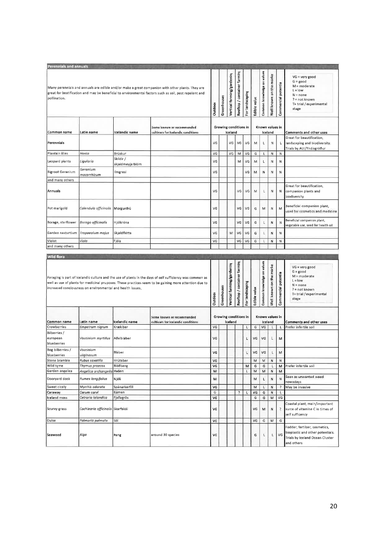| Perennials and annuals                  |                                                            |                               |                                                                                                                                                                                                                     |                                  |             |                            |                             |                 |                            |                            |                         |                     |                                                                                                                                  |
|-----------------------------------------|------------------------------------------------------------|-------------------------------|---------------------------------------------------------------------------------------------------------------------------------------------------------------------------------------------------------------------|----------------------------------|-------------|----------------------------|-----------------------------|-----------------|----------------------------|----------------------------|-------------------------|---------------------|----------------------------------------------------------------------------------------------------------------------------------|
| pollination.                            |                                                            |                               | Many perennials and annuals are edible and/or make a great companion with other plants. They are<br>great for beatification and may be beneficial to environmental factors such as soil, pest repelent and          | Outdoor                          | Greenhouse  | Vertical farming/gardening | Rooftop / container farming | For landscaping | Edible value               | Common knowledge on values | Well known on the marke | Commercial potentia | $VG = very good$<br>$G = good$<br>$M = moderate$<br>$L = low$<br>$N = none$<br>? = not known<br>T= trial / experimental<br>stage |
| Common name                             | Latin name                                                 | Icelandic name                | Some known or recommended<br>cultivars for Icelandic conditions                                                                                                                                                     | Growing conditions in<br>Iceland |             |                            |                             |                 | Known values in<br>Iceland |                            |                         |                     | Comments and other uses                                                                                                          |
| Perennials                              |                                                            |                               |                                                                                                                                                                                                                     | VG                               |             | VG                         | VG                          | VG              | M                          | Г                          | Ν                       | L                   | Great for beautification,<br>landscaping and biodiversity.<br>Trials by AUI/Yndisgróður                                          |
| Plantain lilies                         | Hosta                                                      | Brúskur                       |                                                                                                                                                                                                                     | VG                               |             | VG                         | M                           | VG              | G                          | L                          | N                       | N                   |                                                                                                                                  |
| Leopard plants                          | Ligularia                                                  | Skildir /<br>skjaldmeyjarblóm |                                                                                                                                                                                                                     | VG                               |             |                            | М                           | VG              | M                          | Г                          | Ν                       | N                   |                                                                                                                                  |
| <b>Bigroot Geranium</b>                 | Geranium<br>macorrhizum                                    | Ilmgresi                      |                                                                                                                                                                                                                     | VG                               |             |                            |                             | VG              | M                          | Ν                          | Ν                       | N                   |                                                                                                                                  |
| and many others                         |                                                            |                               |                                                                                                                                                                                                                     |                                  |             |                            |                             |                 |                            |                            |                         |                     |                                                                                                                                  |
| Annuals                                 |                                                            |                               |                                                                                                                                                                                                                     | VG                               |             |                            | VG                          | VG              | M                          | L                          | Ν                       | N                   | Great for beautification,<br>companion plants and<br>biodiversity                                                                |
| Pot marigold                            | Calendula officinalis Morgunfrú                            |                               |                                                                                                                                                                                                                     | VG                               |             |                            | VG                          | VG              | G                          | м                          | Ν                       | М                   | Beneficial companion plant,<br>used for cosmetics and medicine                                                                   |
| Borage, starflower                      | <b>Borago officinalis</b>                                  | Hjólkróna                     |                                                                                                                                                                                                                     | VG                               |             |                            | VG                          | VG              | G                          | L                          | Ν                       | N                   | Beneficial companion plant,<br>vegatable use, seed for health oil                                                                |
| Garden nasturtium                       | Tropaeolum majus                                           | Skjaldflétta                  |                                                                                                                                                                                                                     | VG                               |             | M                          | VG                          | VG              | G                          | п                          | N                       | N                   |                                                                                                                                  |
| Violet                                  | Viola                                                      | Fjóla                         |                                                                                                                                                                                                                     | VG                               |             |                            | VG                          | VG              | G                          |                            | N                       | $\mathsf{N}$        |                                                                                                                                  |
| and many others                         |                                                            |                               |                                                                                                                                                                                                                     |                                  |             |                            |                             |                 |                            |                            |                         |                     |                                                                                                                                  |
|                                         |                                                            |                               |                                                                                                                                                                                                                     |                                  |             |                            |                             |                 |                            |                            |                         |                     |                                                                                                                                  |
|                                         |                                                            |                               |                                                                                                                                                                                                                     |                                  |             |                            |                             |                 |                            |                            |                         |                     |                                                                                                                                  |
| <b>Wild flora</b>                       |                                                            |                               |                                                                                                                                                                                                                     |                                  |             |                            |                             |                 |                            |                            |                         |                     |                                                                                                                                  |
|                                         | increased conciousness on environmental and health issues. |                               | Foraging is part of Icelandic culture and the use of plants in the days of self sufficiency was commen as<br>well as use of plants for medicinal pruposes. These practices seem to be gaining more attention due to | Outdoor                          | Greenhouses | Vertical farming/gardening | Rooftop / container farmin  | For landscaping | Edible value               | Common knowledge on values | Well known on the marke | Commercial potentia | VG = very good<br>$G = good$<br>$M = moderate$<br>$L =$ low<br>$N = none$<br>? = not known<br>T= trial / experimental<br>stage   |
|                                         |                                                            |                               |                                                                                                                                                                                                                     |                                  |             |                            |                             |                 |                            |                            |                         |                     |                                                                                                                                  |
|                                         |                                                            |                               | Some known or recommended                                                                                                                                                                                           |                                  |             | Growing conditions in      |                             |                 |                            | Known values in            |                         |                     |                                                                                                                                  |
| Common name                             | Latin name                                                 | Icelandic name                | cultivars for Icelandic conditions                                                                                                                                                                                  |                                  |             | Iceland                    |                             |                 |                            | Iceland                    |                         |                     | Comments and other uses                                                                                                          |
| Crowberries                             | Empetrum nigrum                                            | Krækiber                      |                                                                                                                                                                                                                     | VG                               |             |                            |                             | L               | G                          | VG                         | L.                      | L                   | Prefer infertile soil                                                                                                            |
| Bilberries /<br>european<br>blueberries | Vaccinium myrtillus                                        | Aðalbláber                    |                                                                                                                                                                                                                     | VG                               |             |                            |                             | L               | VG                         | VG                         | L                       | м                   |                                                                                                                                  |
| Bog bilberries /<br>blueberries         | Vaccinium<br>uliginosum                                    | Bláber                        |                                                                                                                                                                                                                     | VG                               |             |                            |                             | $\mathbf{I}$    | VG                         | VG                         |                         | M                   |                                                                                                                                  |
| Stone bramble                           | Rubus saxatilis                                            | Hrútaber                      |                                                                                                                                                                                                                     | VG                               |             |                            |                             |                 | M                          | М                          | N                       | N                   |                                                                                                                                  |
| Wild tyme                               | Thymus praecox                                             | Blóðberg                      |                                                                                                                                                                                                                     | VG                               |             |                            |                             | M               | G                          | G                          |                         | М                   | Prefer infertile soil                                                                                                            |
| Garden angelica                         | Angelica archangelia Hvönn                                 |                               |                                                                                                                                                                                                                     | М                                |             |                            |                             | $\mathsf{L}$    | M                          | M                          | N                       | М                   |                                                                                                                                  |
| Dooryard dock                           | Rumex longifolius                                          | Njóli                         |                                                                                                                                                                                                                     | М                                |             |                            |                             |                 | M                          | ι                          | N                       | N                   | Seen as unwanted weed<br>nowadays                                                                                                |
| Sweet cicely                            | Myrrhis odorata                                            | Spánarkerfill                 |                                                                                                                                                                                                                     | VG                               |             |                            |                             |                 | M                          | L                          | И                       | ?                   | May be invasive                                                                                                                  |
| Caraway                                 | Carum carvi                                                | Kúmen                         |                                                                                                                                                                                                                     | G                                |             |                            | $\overline{\mathbf{z}}$     | $\mathsf{L}$    | VG                         | G                          | N                       | $\mathsf{L}$        |                                                                                                                                  |
| Iceland moss<br>Scurvy-grass            | Cetraria ialandica<br>Cochlearia officinalis Skarfakál     | Fjallagrös                    |                                                                                                                                                                                                                     | VG<br>VG                         |             |                            |                             |                 | G<br>VG                    | G<br>м                     | M<br>Ν                  | VG                  | Coastal plant, main/important<br>surce of vitamine C in times of<br>self sufficency                                              |
| Dulse                                   | Palmaria palmata                                           | Söl                           |                                                                                                                                                                                                                     | VG                               |             |                            |                             |                 | VG                         | G                          | M                       | G                   |                                                                                                                                  |